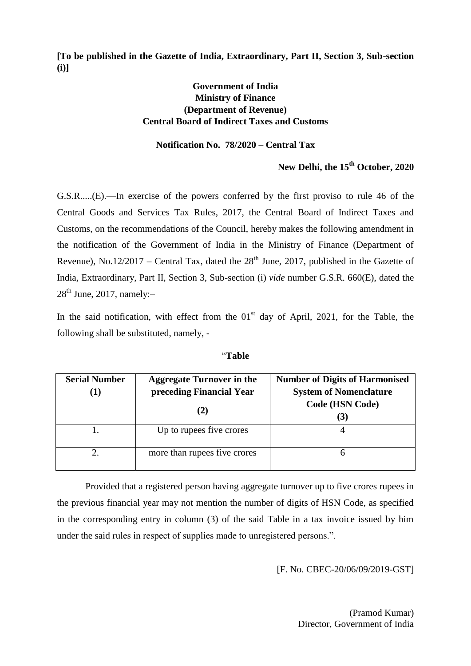**[To be published in the Gazette of India, Extraordinary, Part II, Section 3, Sub-section (i)]**

## **Government of India Ministry of Finance (Department of Revenue) Central Board of Indirect Taxes and Customs**

## **Notification No. 78/2020 – Central Tax**

## **New Delhi, the 15th October, 2020**

G.S.R.....(E).—In exercise of the powers conferred by the first proviso to rule 46 of the Central Goods and Services Tax Rules, 2017, the Central Board of Indirect Taxes and Customs, on the recommendations of the Council, hereby makes the following amendment in the notification of the Government of India in the Ministry of Finance (Department of Revenue), No.12/2017 – Central Tax, dated the  $28<sup>th</sup>$  June, 2017, published in the Gazette of India, Extraordinary, Part II, Section 3, Sub-section (i) *vide* number G.S.R. 660(E), dated the  $28<sup>th</sup>$  June, 2017, namely:-

In the said notification, with effect from the  $01<sup>st</sup>$  day of April, 2021, for the Table, the following shall be substituted, namely, -

| <b>Serial Number</b><br>$\bf{1)}$ | <b>Aggregate Turnover in the</b><br>preceding Financial Year | <b>Number of Digits of Harmonised</b><br><b>System of Nomenclature</b> |
|-----------------------------------|--------------------------------------------------------------|------------------------------------------------------------------------|
|                                   | (2)                                                          | Code (HSN Code)<br>$.3^{\circ}$                                        |
|                                   | Up to rupees five crores                                     |                                                                        |
|                                   | more than rupees five crores                                 |                                                                        |

―**Table**

Provided that a registered person having aggregate turnover up to five crores rupees in the previous financial year may not mention the number of digits of HSN Code, as specified in the corresponding entry in column (3) of the said Table in a tax invoice issued by him under the said rules in respect of supplies made to unregistered persons.".

[F. No. CBEC-20/06/09/2019-GST]